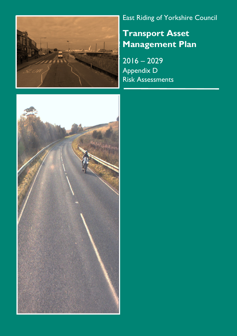

# East Riding of Yorkshire Council

Transport Asset Management Plan

2016 – 2029 Appendix D Risk Assessments

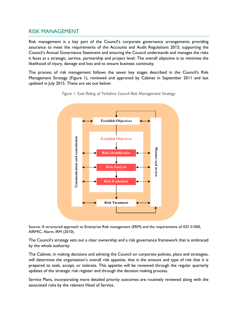# RISK MANAGEMENT

Risk management is a key part of the Council's corporate governance arrangements providing assurance to meet the requirements of the Accounts and Audit Regulations 2015; supporting the Council's Annual Governance Statement and ensuring the Council understands and manages the risks it faces at a strategic, service, partnership and project level. The overall objective is to minimise the likelihood of injury, damage and loss and to ensure business continuity.

The process of risk management follows the seven key stages described in the Council's Risk Management Strategy (Figure 1), reviewed and approved by Cabinet in September 2011 and last updated in July 2015. These are set out below:





Source: A structured approach to Enterprise Risk management (ERM) and the requirements of ISO 31000, AIRMIC, Alarm, IRM (2010).

The Council's strategy sets out a clear ownership and a risk governance framework that is embraced by the whole authority.

The Cabinet, in making decisions and advising the Council on corporate policies, plans and strategies, will determine the organisation's overall risk appetite, that is the amount and type of risk that it is prepared to seek, accept, or tolerate. This appetite will be reviewed through the regular quarterly updates of the strategic risk register and through the decision making process.

Service Plans, incorporating more detailed priority outcomes are routinely reviewed along with the associated risks by the relevant Head of Service.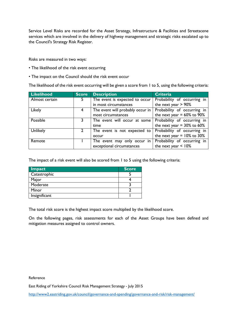Service Level Risks are recorded for the Asset Strategy, Infrastructure & Facilities and Streetscene services which are involved in the delivery of highway management and strategic risks escalated up to the Council's Strategy Risk Register.

Risks are measured in two ways:

- The likelihood of the risk event occurring
- The impact on the Council should the risk event occur

The likelihood of the risk event occurring will be given a score from 1 to 5, using the following criteria:

| <b>Likelihood</b> | <b>Score</b> | <b>Description</b>               | <b>Criteria</b>                  |
|-------------------|--------------|----------------------------------|----------------------------------|
| Almost certain    |              | The event is expected to occur   | Probability of occurring in      |
|                   |              | in most circumstances            | the next year $> 90\%$           |
| Likely            | 4            | The event will probably occur in | Probability of occurring in      |
|                   |              | most circumstances               | the next year = $60\%$ to $90\%$ |
| Possible          |              | The event will occur at some     | Probability of occurring in      |
|                   |              | time                             | the next year = $30\%$ to $60\%$ |
| Unlikely          |              | The event is not expected to     | Probability of occurring in      |
|                   |              | occur                            | the next year = $10\%$ to 30%    |
| Remote            |              | The event may only occur in      | Probability of occurring in      |
|                   |              | exceptional circumstances        | the next year $<$ 10%            |

The impact of a risk event will also be scored from 1 to 5 using the following criteria:

| Impact        | <b>Score</b> |
|---------------|--------------|
| Catastrophic  |              |
| Major         |              |
| Moderate      |              |
| Minor         |              |
| Insignificant |              |

The total risk score is the highest impact score multiplied by the likelihood score.

On the following pages, risk assessments for each of the Asset Groups have been defined and mitigation measures assigned to control owners.

Reference

East Riding of Yorkshire Council Risk Management Strategy - July 2015

http://www2.eastriding.gov.uk/council/governance-and-spending/governance-and-risk/risk-management/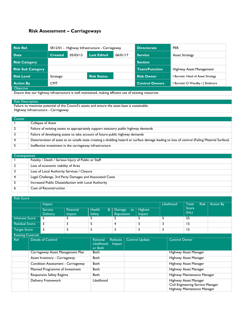# Risk Assessment – Carriageways

| <b>Risk Ref.</b>         | SR12/01 - Highway Infrastructure - Carriageway |  |                    |          | <b>Directorate</b>    | <b>PER</b>                            |  |
|--------------------------|------------------------------------------------|--|--------------------|----------|-----------------------|---------------------------------------|--|
| <b>Date</b>              | 05/03/13<br><b>Created</b>                     |  | <b>Last Edited</b> | 06/01/17 | <b>Service</b>        | <b>Asset Strategy</b>                 |  |
| <b>Risk Category</b>     |                                                |  |                    |          | <b>Section</b>        |                                       |  |
| <b>Risk Sub Category</b> |                                                |  |                    |          | <b>Team/Function</b>  | Highway Asset Management              |  |
| <b>Risk Level</b>        | Strategic                                      |  | <b>Risk Status</b> |          | <b>Risk Owner</b>     | <b>Burnett-Head of Asset Strategy</b> |  |
| <b>Action By</b>         | <b>CMT</b>                                     |  |                    |          | <b>Control Owners</b> | I Burnett/ D Waudby / I Skidmore      |  |
| <b>Objective</b>         |                                                |  |                    |          |                       |                                       |  |

Ensure that our highway infrastructure is well maintained, making efficient use of existing resources

#### Risk Description

Failure to maximise potential of the Council's assets and ensure the asset base is sustainable. Highway Infrastructure - Carriageway

| <b>Causes</b>  |                                                                                                                                              |
|----------------|----------------------------------------------------------------------------------------------------------------------------------------------|
|                | Collapse of Asset                                                                                                                            |
| $\overline{2}$ | Failure of existing assets to appropriately support statutory public highway demands                                                         |
|                | Failure of developing assets to take account of future public highway demands                                                                |
| 4              | Deterioration of asset to an unsafe state creating a skidding hazard or surface damage leading to loss of control (Failing Material Surface) |
|                | Ineffective investment in the carriageway infrastructure                                                                                     |

| <b>Consequences</b> |                                                         |
|---------------------|---------------------------------------------------------|
|                     | Fatality / Death / Serious Injury of Public or Staff    |
| $\mathbf{2}$        | Loss of economic viability of Area                      |
|                     | Loss of Local Authority Services / Closure              |
|                     | Legal Challenge, 3rd Party Damages and Associated Costs |
|                     | Increased Public Dissatisfaction with Local Authority   |
|                     | <b>Cost of Reconstruction</b>                           |

| <b>Risk Score</b>        |                                 |                                    |                                                                                                 |                                     |                         |                          |                             |                                                                                           |                  |  |
|--------------------------|---------------------------------|------------------------------------|-------------------------------------------------------------------------------------------------|-------------------------------------|-------------------------|--------------------------|-----------------------------|-------------------------------------------------------------------------------------------|------------------|--|
|                          |                                 | Impact                             |                                                                                                 |                                     |                         |                          | Likelihood                  | Total<br><b>Risk</b>                                                                      | <b>Action By</b> |  |
|                          |                                 | <b>Service</b><br><b>Delivery</b>  | <b>Financial</b><br>Impact                                                                      | <b>Health</b><br>&<br><b>Safety</b> | Damage to<br>Reputation | <b>Highest</b><br>Impact |                             | <b>Score</b><br>(lxL)                                                                     |                  |  |
| <b>Inherent Score</b>    |                                 | 5.                                 | 5                                                                                               | 5                                   | 5                       | 5                        | 5                           | 25                                                                                        |                  |  |
| <b>Residual Score</b>    |                                 | 3                                  | 3                                                                                               | 5                                   | $\overline{4}$          | 5                        | 3                           | 15                                                                                        |                  |  |
| <b>Target Score</b>      |                                 | 3                                  | 3                                                                                               | 5                                   | 3                       | 5                        | 3                           | 15                                                                                        |                  |  |
| <b>Existing Controls</b> |                                 |                                    |                                                                                                 |                                     |                         |                          |                             |                                                                                           |                  |  |
| <b>Ref</b>               | <b>Details of Control</b>       |                                    | <b>Control Update</b><br>Rational:<br><b>Reduces</b><br>Likelihood,<br><b>Impact</b><br>or Both |                                     |                         | <b>Control Owner</b>     |                             |                                                                                           |                  |  |
|                          |                                 | Carriageway Asset Management Plan  |                                                                                                 | <b>Both</b>                         |                         |                          |                             | Highway Asset Manager                                                                     |                  |  |
|                          |                                 | Asset Inventory - Carriageway      |                                                                                                 | <b>Both</b>                         |                         |                          |                             | Highway Asset Manager                                                                     |                  |  |
|                          |                                 | Condition Assessment - Carriageway |                                                                                                 | <b>Both</b>                         |                         |                          |                             | Highway Asset Manager                                                                     |                  |  |
|                          | Planned Programme of Investment |                                    | <b>Both</b>                                                                                     |                                     |                         |                          | Highway Asset Manager       |                                                                                           |                  |  |
|                          | <b>Responsive Safety Regime</b> |                                    | <b>Both</b>                                                                                     |                                     |                         |                          | Highway Maintenance Manager |                                                                                           |                  |  |
|                          | Delivery Framework              |                                    |                                                                                                 | Likelihood                          |                         |                          |                             | Highway Asset Manager<br>Civil Engineering Service Manager<br>Highway Maintenance Manager |                  |  |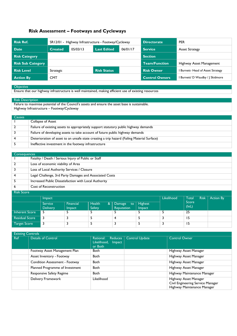# Risk Assessment – Footways and Cycleways

| Risk Ref.                |                            |  | SR12/01 - Highway Infrastructure - Footway/Cycleway |          | <b>Directorate</b>    | <b>PER</b>                               |  |
|--------------------------|----------------------------|--|-----------------------------------------------------|----------|-----------------------|------------------------------------------|--|
| <b>Date</b>              | 05/03/13<br><b>Created</b> |  | <b>Last Edited</b>                                  | 06/01/17 | <b>Service</b>        | <b>Asset Strategy</b>                    |  |
| <b>Risk Category</b>     |                            |  |                                                     |          | <b>Section</b>        |                                          |  |
| <b>Risk Sub Category</b> |                            |  |                                                     |          | <b>Team/Function</b>  | Highway Asset Management                 |  |
| <b>Risk Level</b>        | Strategic                  |  | <b>Risk Status</b>                                  |          | <b>Risk Owner</b>     | <b>I Burnett- Head of Asset Strategy</b> |  |
| <b>Action By</b>         | <b>CMT</b>                 |  |                                                     |          | <b>Control Owners</b> | I Burnett/ D Waudby / J Skidmore         |  |

#### **Objective**

Ensure that our highway infrastructure is well maintained, making efficient use of existing resources

#### Risk Description

Failure to maximise potential of the Council's assets and ensure the asset base is sustainable. Highway Infrastructure – Footway/Cycleway

| <b>Causes</b> |                                                                                             |
|---------------|---------------------------------------------------------------------------------------------|
|               | Collapse of Asset                                                                           |
|               | Failure of existing assets to appropriately support statutory public highway demands        |
|               | Failure of developing assets to take account of future public highway demands               |
|               | Deterioration of asset to an unsafe state creating a trip hazard (Failing Material Surface) |
|               | Ineffective investment in the footway infrastructure                                        |

|            | <b>Consequences</b>                                     |  |  |  |  |  |  |
|------------|---------------------------------------------------------|--|--|--|--|--|--|
|            | Fatality / Death / Serious Injury of Public or Staff    |  |  |  |  |  |  |
|            | Loss of economic viability of Area                      |  |  |  |  |  |  |
|            | Loss of Local Authority Services / Closure              |  |  |  |  |  |  |
|            | Legal Challenge, 3rd Party Damages and Associated Costs |  |  |  |  |  |  |
|            | Increased Public Dissatisfaction with Local Authority   |  |  |  |  |  |  |
| 6          | Cost of Reconstruction                                  |  |  |  |  |  |  |
| Risk Score |                                                         |  |  |  |  |  |  |

|                       | <i>Impact</i>                     |                            |                                     | Likelihood                 | Total<br>Risk            | <b>Action By</b> |                |  |
|-----------------------|-----------------------------------|----------------------------|-------------------------------------|----------------------------|--------------------------|------------------|----------------|--|
|                       | <b>Service</b><br><b>Delivery</b> | Financial<br><i>Impact</i> | Health<br>$\infty$<br><b>Safety</b> | Damage<br>to<br>Reputation | <b>Highest</b><br>Impact |                  | Score<br>(lxL) |  |
| Inherent Score        | -5                                |                            |                                     |                            |                          |                  | 25             |  |
| <b>Residual Score</b> |                                   |                            |                                     |                            |                          |                  | 15             |  |
| <b>Target Score</b>   | 3                                 |                            |                                     |                            |                          |                  | 15             |  |

|            | <b>Existing Controls</b>        |                                                                 |                       |                                                                                           |  |  |  |  |  |  |
|------------|---------------------------------|-----------------------------------------------------------------|-----------------------|-------------------------------------------------------------------------------------------|--|--|--|--|--|--|
| <b>Ref</b> | <b>Details of Control</b>       | Rational:<br><b>Reduces</b><br>Likelihood,<br>Impact<br>or Both | <b>Control Update</b> | <b>Control Owner</b>                                                                      |  |  |  |  |  |  |
|            | Footway Asset Management Plan   | <b>Both</b>                                                     |                       | Highway Asset Manager                                                                     |  |  |  |  |  |  |
|            | Asset Inventory - Footway       | <b>Both</b>                                                     |                       | Highway Asset Manager                                                                     |  |  |  |  |  |  |
|            | Condition Assessment - Footway  | <b>Both</b>                                                     |                       | Highway Asset Manager                                                                     |  |  |  |  |  |  |
|            | Planned Programme of Investment | <b>Both</b>                                                     |                       | <b>Highway Asset Manager</b>                                                              |  |  |  |  |  |  |
|            | Responsive Safety Regime        | Both                                                            |                       | Highway Maintenance Manager                                                               |  |  |  |  |  |  |
|            | Delivery Framework              | Likelihood                                                      |                       | Highway Asset Manager<br>Civil Engineering Service Manager<br>Highway Maintenance Manager |  |  |  |  |  |  |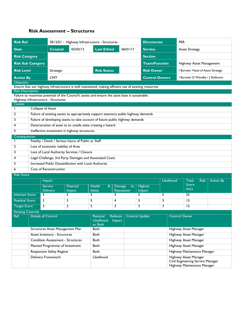### Risk Assessment – Structures

| <b>Risk Ref.</b>                                                                                                                 |  |                                                                                                 |                                                       | SR12/01 - Highway Infrastructure - Structures                                                       |    |                          | <b>Directorate</b>    |                              | <b>PER</b>                                                                                |                  |  |
|----------------------------------------------------------------------------------------------------------------------------------|--|-------------------------------------------------------------------------------------------------|-------------------------------------------------------|-----------------------------------------------------------------------------------------------------|----|--------------------------|-----------------------|------------------------------|-------------------------------------------------------------------------------------------|------------------|--|
| <b>Date</b>                                                                                                                      |  | <b>Created</b>                                                                                  | 05/03/13                                              | <b>Last Edited</b>                                                                                  |    | 06/01/17                 | <b>Service</b>        |                              | <b>Asset Strategy</b>                                                                     |                  |  |
| <b>Risk Category</b>                                                                                                             |  |                                                                                                 |                                                       |                                                                                                     |    |                          | <b>Section</b>        |                              |                                                                                           |                  |  |
| <b>Risk Sub Category</b>                                                                                                         |  |                                                                                                 |                                                       |                                                                                                     |    |                          | <b>Team/Function</b>  |                              | Highway Asset Management                                                                  |                  |  |
| <b>Risk Level</b>                                                                                                                |  | Strategic                                                                                       |                                                       | <b>Risk Status</b>                                                                                  |    |                          | <b>Risk Owner</b>     |                              | I Burnett- Head of Asset Strategy                                                         |                  |  |
| <b>Action By</b>                                                                                                                 |  | <b>CMT</b>                                                                                      |                                                       |                                                                                                     |    |                          | <b>Control Owners</b> |                              | I Burnett/ D Waudby / J Skidmore                                                          |                  |  |
| Objective                                                                                                                        |  |                                                                                                 |                                                       |                                                                                                     |    |                          |                       |                              |                                                                                           |                  |  |
| Ensure that our highway infrastructure is well maintained, making efficient use of existing resources<br><b>Risk Description</b> |  |                                                                                                 |                                                       |                                                                                                     |    |                          |                       |                              |                                                                                           |                  |  |
|                                                                                                                                  |  |                                                                                                 |                                                       | Failure to maximise potential of the Council's assets and ensure the asset base is sustainable.     |    |                          |                       |                              |                                                                                           |                  |  |
|                                                                                                                                  |  | Highway Infrastructure - Structures                                                             |                                                       |                                                                                                     |    |                          |                       |                              |                                                                                           |                  |  |
| <b>Causes</b>                                                                                                                    |  |                                                                                                 |                                                       |                                                                                                     |    |                          |                       |                              |                                                                                           |                  |  |
| I.<br>2                                                                                                                          |  | Collapse of Asset                                                                               |                                                       | Failure of existing assets to appropriately support statutory public highway demands                |    |                          |                       |                              |                                                                                           |                  |  |
| 3                                                                                                                                |  |                                                                                                 |                                                       | Failure of developing assets to take account of future public highway demands                       |    |                          |                       |                              |                                                                                           |                  |  |
| 4                                                                                                                                |  |                                                                                                 |                                                       | Deterioration of asset to an unsafe state creating a hazard                                         |    |                          |                       |                              |                                                                                           |                  |  |
| 5                                                                                                                                |  |                                                                                                 | Ineffective investment in highway structures          |                                                                                                     |    |                          |                       |                              |                                                                                           |                  |  |
| Consequences                                                                                                                     |  |                                                                                                 |                                                       |                                                                                                     |    |                          |                       |                              |                                                                                           |                  |  |
| I.                                                                                                                               |  |                                                                                                 | Fatality / Death / Serious Injury of Public or Staff  |                                                                                                     |    |                          |                       |                              |                                                                                           |                  |  |
| 2                                                                                                                                |  | Loss of economic viability of Area                                                              |                                                       |                                                                                                     |    |                          |                       |                              |                                                                                           |                  |  |
| 3                                                                                                                                |  |                                                                                                 | Loss of Local Authority Services / Closure            |                                                                                                     |    |                          |                       |                              |                                                                                           |                  |  |
| 4                                                                                                                                |  |                                                                                                 |                                                       | Legal Challenge, 3rd Party Damages and Associated Costs                                             |    |                          |                       |                              |                                                                                           |                  |  |
| 5                                                                                                                                |  |                                                                                                 | Increased Public Dissatisfaction with Local Authority |                                                                                                     |    |                          |                       |                              |                                                                                           |                  |  |
| 6                                                                                                                                |  | <b>Cost of Reconstruction</b>                                                                   |                                                       |                                                                                                     |    |                          |                       |                              |                                                                                           |                  |  |
| <b>Risk Score</b>                                                                                                                |  |                                                                                                 |                                                       |                                                                                                     |    |                          |                       |                              |                                                                                           |                  |  |
|                                                                                                                                  |  | Impact                                                                                          |                                                       |                                                                                                     |    |                          |                       | Likelihood                   | Total<br><b>Risk</b>                                                                      | <b>Action By</b> |  |
|                                                                                                                                  |  | <b>Service</b><br><b>Delivery</b>                                                               | <b>Financial</b><br>Impact                            | <b>Health</b><br>$\boldsymbol{\alpha}$<br><b>Damage</b><br>to<br><b>Safety</b><br><b>Reputation</b> |    | <b>Highest</b><br>Impact |                       | Score<br>(lxL)               |                                                                                           |                  |  |
| <b>Inherent Score</b>                                                                                                            |  | 5                                                                                               | 5                                                     | 5                                                                                                   | 5. |                          | 5                     | 5                            | 25                                                                                        |                  |  |
| <b>Residual Score</b>                                                                                                            |  | 3                                                                                               | 3                                                     | 5                                                                                                   | 4  |                          | 5                     | 3                            | 15                                                                                        |                  |  |
| <b>Target Score</b>                                                                                                              |  | 3                                                                                               | 3                                                     | 5                                                                                                   | 3  |                          | 5                     | 3                            | $\overline{15}$                                                                           |                  |  |
| <b>Existing Controls</b>                                                                                                         |  |                                                                                                 |                                                       |                                                                                                     |    |                          |                       |                              |                                                                                           |                  |  |
|                                                                                                                                  |  | Ref   Details of Control<br>Rational: Reduces   Control Update<br>Likelihood, Impact<br>or Both |                                                       |                                                                                                     |    |                          |                       |                              | <b>Control Owner</b>                                                                      |                  |  |
|                                                                                                                                  |  | Structures Asset Management Plan                                                                |                                                       | <b>Both</b>                                                                                         |    |                          |                       |                              | Highway Asset Manager                                                                     |                  |  |
|                                                                                                                                  |  | <b>Asset Inventory - Structures</b>                                                             |                                                       | Both                                                                                                |    |                          |                       |                              | Highway Asset Manager                                                                     |                  |  |
|                                                                                                                                  |  | <b>Condition Assessment - Structures</b>                                                        |                                                       | <b>Both</b>                                                                                         |    |                          |                       |                              | Highway Asset Manager                                                                     |                  |  |
|                                                                                                                                  |  | Planned Programme of Investment                                                                 |                                                       | <b>Both</b>                                                                                         |    |                          |                       | <b>Highway Asset Manager</b> |                                                                                           |                  |  |
|                                                                                                                                  |  | Responsive Safety Regime                                                                        |                                                       | <b>Both</b>                                                                                         |    |                          |                       |                              | Highway Maintenance Manager                                                               |                  |  |
|                                                                                                                                  |  | Delivery Framework                                                                              |                                                       | Likelihood                                                                                          |    |                          |                       |                              | Highway Asset Manager<br>Civil Engineering Service Manager<br>Highway Maintenance Manager |                  |  |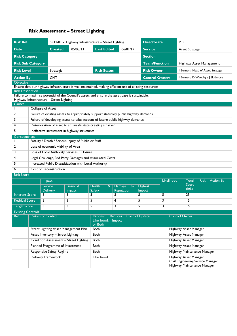# Risk Assessment – Street Lighting

| <b>Risk Ref.</b>                                    |                                                                                                                  |                                                      | SR12/01 - Highway Infrastructure - Street Lighting                                                    |                                    |                                                                                                 |          |                       | <b>Directorate</b>                                                                        | <b>PER</b>                               |  |  |  |  |
|-----------------------------------------------------|------------------------------------------------------------------------------------------------------------------|------------------------------------------------------|-------------------------------------------------------------------------------------------------------|------------------------------------|-------------------------------------------------------------------------------------------------|----------|-----------------------|-------------------------------------------------------------------------------------------|------------------------------------------|--|--|--|--|
| <b>Date</b>                                         |                                                                                                                  | <b>Created</b>                                       | 05/03/13                                                                                              | <b>Last Edited</b>                 |                                                                                                 | 06/01/17 | <b>Service</b>        |                                                                                           | <b>Asset Strategy</b>                    |  |  |  |  |
| <b>Risk Category</b>                                |                                                                                                                  |                                                      |                                                                                                       |                                    |                                                                                                 |          | <b>Section</b>        |                                                                                           |                                          |  |  |  |  |
| <b>Risk Sub Category</b>                            |                                                                                                                  |                                                      |                                                                                                       |                                    |                                                                                                 |          | <b>Team/Function</b>  |                                                                                           | Highway Asset Management                 |  |  |  |  |
| <b>Risk Level</b>                                   |                                                                                                                  | Strategic                                            |                                                                                                       |                                    | <b>Risk Status</b>                                                                              |          | <b>Risk Owner</b>     |                                                                                           | I Burnett- Head of Asset Strategy        |  |  |  |  |
| <b>Action By</b>                                    |                                                                                                                  | <b>CMT</b>                                           |                                                                                                       |                                    |                                                                                                 |          | <b>Control Owners</b> |                                                                                           | I Burnett/ D Waudby / J Skidmore         |  |  |  |  |
| Objective                                           |                                                                                                                  |                                                      | Ensure that our highway infrastructure is well maintained, making efficient use of existing resources |                                    |                                                                                                 |          |                       |                                                                                           |                                          |  |  |  |  |
| <b>Risk Description</b>                             |                                                                                                                  |                                                      |                                                                                                       |                                    |                                                                                                 |          |                       |                                                                                           |                                          |  |  |  |  |
|                                                     |                                                                                                                  |                                                      |                                                                                                       |                                    | Failure to maximise potential of the Council's assets and ensure the asset base is sustainable. |          |                       |                                                                                           |                                          |  |  |  |  |
|                                                     |                                                                                                                  | Highway Infrastructure - Street Lighting             |                                                                                                       |                                    |                                                                                                 |          |                       |                                                                                           |                                          |  |  |  |  |
| <b>Causes</b><br>$\mathbf{I}$                       |                                                                                                                  |                                                      |                                                                                                       |                                    |                                                                                                 |          |                       |                                                                                           |                                          |  |  |  |  |
| 2                                                   | <b>Collapse of Asset</b><br>Failure of existing assets to appropriately support statutory public highway demands |                                                      |                                                                                                       |                                    |                                                                                                 |          |                       |                                                                                           |                                          |  |  |  |  |
| 3                                                   |                                                                                                                  |                                                      | Failure of developing assets to take account of future public highway demands                         |                                    |                                                                                                 |          |                       |                                                                                           |                                          |  |  |  |  |
| 4                                                   |                                                                                                                  |                                                      | Deterioration of asset to an unsafe state creating a hazard                                           |                                    |                                                                                                 |          |                       |                                                                                           |                                          |  |  |  |  |
| 5                                                   |                                                                                                                  |                                                      | Ineffective investment in highway structures                                                          |                                    |                                                                                                 |          |                       |                                                                                           |                                          |  |  |  |  |
|                                                     | Consequences                                                                                                     |                                                      |                                                                                                       |                                    |                                                                                                 |          |                       |                                                                                           |                                          |  |  |  |  |
| ı                                                   |                                                                                                                  | Fatality / Death / Serious Injury of Public or Staff |                                                                                                       |                                    |                                                                                                 |          |                       |                                                                                           |                                          |  |  |  |  |
| 2                                                   |                                                                                                                  |                                                      | Loss of economic viability of Area                                                                    |                                    |                                                                                                 |          |                       |                                                                                           |                                          |  |  |  |  |
| 3                                                   |                                                                                                                  |                                                      | Loss of Local Authority Services / Closure<br>Legal Challenge, 3rd Party Damages and Associated Costs |                                    |                                                                                                 |          |                       |                                                                                           |                                          |  |  |  |  |
| 4                                                   |                                                                                                                  |                                                      |                                                                                                       |                                    |                                                                                                 |          |                       |                                                                                           |                                          |  |  |  |  |
| 5<br>6                                              |                                                                                                                  | <b>Cost of Reconstruction</b>                        | Increased Public Dissatisfaction with Local Authority                                                 |                                    |                                                                                                 |          |                       |                                                                                           |                                          |  |  |  |  |
| <b>Risk Score</b>                                   |                                                                                                                  |                                                      |                                                                                                       |                                    |                                                                                                 |          |                       |                                                                                           |                                          |  |  |  |  |
|                                                     |                                                                                                                  | Impact                                               |                                                                                                       |                                    |                                                                                                 |          |                       | Likelihood                                                                                | Total<br><b>Risk</b><br><b>Action By</b> |  |  |  |  |
|                                                     |                                                                                                                  | <b>Service</b>                                       | <b>Financial</b>                                                                                      | <b>Health</b><br>&                 | <b>Damage</b>                                                                                   |          | <b>Highest</b>        |                                                                                           | Score                                    |  |  |  |  |
|                                                     |                                                                                                                  | <b>Delivery</b>                                      | Impact                                                                                                | Safety                             | Reputation                                                                                      |          | Impact                |                                                                                           | (lxL)                                    |  |  |  |  |
| <b>Inherent Score</b>                               |                                                                                                                  | 5                                                    | 5                                                                                                     | 5                                  | 5                                                                                               |          | 5                     | 5                                                                                         | 25                                       |  |  |  |  |
| <b>Residual Score</b>                               |                                                                                                                  | 3                                                    | 3                                                                                                     | 5                                  | 4                                                                                               |          | 5                     | 3                                                                                         | 15                                       |  |  |  |  |
| <b>Target Score</b>                                 |                                                                                                                  | 3                                                    | 3                                                                                                     | 5<br>3                             |                                                                                                 |          | 5                     | 3                                                                                         | 15                                       |  |  |  |  |
| <b>Existing Controls</b><br>$\overline{\text{Ref}}$ |                                                                                                                  | Details of Control                                   |                                                                                                       | Rational: Reduces   Control Update |                                                                                                 |          |                       |                                                                                           | <b>Control Owner</b>                     |  |  |  |  |
|                                                     |                                                                                                                  |                                                      |                                                                                                       | Likelihood, Impact                 |                                                                                                 |          |                       |                                                                                           |                                          |  |  |  |  |
|                                                     |                                                                                                                  |                                                      |                                                                                                       | <b>Both</b>                        | or Both                                                                                         |          |                       |                                                                                           | Highway Asset Manager                    |  |  |  |  |
|                                                     | Street Lighting Asset Management Plan<br><b>Asset Inventory - Street Lighting</b>                                |                                                      |                                                                                                       | <b>Both</b>                        |                                                                                                 |          |                       |                                                                                           | Highway Asset Manager                    |  |  |  |  |
| Condition Assessment - Street Lighting              |                                                                                                                  |                                                      | Both                                                                                                  |                                    |                                                                                                 |          |                       | Highway Asset Manager                                                                     |                                          |  |  |  |  |
|                                                     | Planned Programme of Investment                                                                                  |                                                      |                                                                                                       | <b>Both</b>                        |                                                                                                 |          |                       |                                                                                           | Highway Asset Manager                    |  |  |  |  |
|                                                     |                                                                                                                  | Responsive Safety Regime                             |                                                                                                       | Both                               |                                                                                                 |          |                       |                                                                                           | Highway Maintenance Manager              |  |  |  |  |
|                                                     | Delivery Framework                                                                                               |                                                      |                                                                                                       |                                    | Likelihood                                                                                      |          |                       | Highway Asset Manager<br>Civil Engineering Service Manager<br>Highway Maintenance Manager |                                          |  |  |  |  |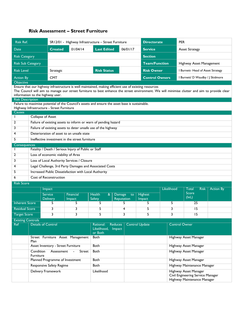# Risk Assessment – Street Furniture

| <b>Risk Ref.</b>                                                                                                                                                                                                                                                                                                                   |                                                                                                                                            |                                           | SR12/01 - Highway Infrastructure - Street Furniture                                             |                                                                          |  |          |                                                                                           | <b>PER</b><br><b>Directorate</b> |                       |                                   |                  |  |
|------------------------------------------------------------------------------------------------------------------------------------------------------------------------------------------------------------------------------------------------------------------------------------------------------------------------------------|--------------------------------------------------------------------------------------------------------------------------------------------|-------------------------------------------|-------------------------------------------------------------------------------------------------|--------------------------------------------------------------------------|--|----------|-------------------------------------------------------------------------------------------|----------------------------------|-----------------------|-----------------------------------|------------------|--|
| Date                                                                                                                                                                                                                                                                                                                               |                                                                                                                                            | <b>Created</b>                            | 01/04/14                                                                                        | <b>Last Edited</b>                                                       |  | 06/01/17 | <b>Service</b>                                                                            |                                  | <b>Asset Strategy</b> |                                   |                  |  |
| <b>Risk Category</b>                                                                                                                                                                                                                                                                                                               |                                                                                                                                            |                                           |                                                                                                 |                                                                          |  |          | <b>Section</b>                                                                            |                                  |                       |                                   |                  |  |
| <b>Risk Sub Category</b>                                                                                                                                                                                                                                                                                                           |                                                                                                                                            |                                           |                                                                                                 |                                                                          |  |          |                                                                                           | <b>Team/Function</b>             |                       | Highway Asset Management          |                  |  |
| <b>Risk Level</b>                                                                                                                                                                                                                                                                                                                  |                                                                                                                                            | Strategic                                 |                                                                                                 | <b>Risk Status</b>                                                       |  |          | <b>Risk Owner</b>                                                                         |                                  |                       | I Burnett- Head of Asset Strategy |                  |  |
| <b>Action By</b>                                                                                                                                                                                                                                                                                                                   |                                                                                                                                            | <b>CMT</b>                                |                                                                                                 |                                                                          |  |          | <b>Control Owners</b>                                                                     | I Burnett/ D Waudby / J Skidmore |                       |                                   |                  |  |
| Objective<br>Ensure that our highway infrastructure is well maintained, making efficient use of existing resources<br>The Council will aim to manage our street furniture to best enhance the street environment. We will minimise clutter and aim to provide clear<br>information to the highway user.<br><b>Risk Description</b> |                                                                                                                                            |                                           |                                                                                                 |                                                                          |  |          |                                                                                           |                                  |                       |                                   |                  |  |
|                                                                                                                                                                                                                                                                                                                                    |                                                                                                                                            | Highway Infrastructure - Street Furniture | Failure to maximise potential of the Council's assets and ensure the asset base is sustainable. |                                                                          |  |          |                                                                                           |                                  |                       |                                   |                  |  |
| <b>Causes</b>                                                                                                                                                                                                                                                                                                                      |                                                                                                                                            |                                           |                                                                                                 |                                                                          |  |          |                                                                                           |                                  |                       |                                   |                  |  |
|                                                                                                                                                                                                                                                                                                                                    |                                                                                                                                            | <b>Collapse of Asset</b>                  |                                                                                                 |                                                                          |  |          |                                                                                           |                                  |                       |                                   |                  |  |
| 2                                                                                                                                                                                                                                                                                                                                  |                                                                                                                                            |                                           | Failure of existing assets to inform or warn of pending hazard                                  |                                                                          |  |          |                                                                                           |                                  |                       |                                   |                  |  |
| 3                                                                                                                                                                                                                                                                                                                                  |                                                                                                                                            |                                           | Failure of existing assets to deter unsafe use of the highway                                   |                                                                          |  |          |                                                                                           |                                  |                       |                                   |                  |  |
| 4                                                                                                                                                                                                                                                                                                                                  |                                                                                                                                            |                                           | Deterioration of asset to an unsafe state                                                       |                                                                          |  |          |                                                                                           |                                  |                       |                                   |                  |  |
| 5                                                                                                                                                                                                                                                                                                                                  | Ineffective investment in the street furniture                                                                                             |                                           |                                                                                                 |                                                                          |  |          |                                                                                           |                                  |                       |                                   |                  |  |
| $\mathbf{I}$                                                                                                                                                                                                                                                                                                                       | Consequences<br>Fatality / Death / Serious Injury of Public or Staff                                                                       |                                           |                                                                                                 |                                                                          |  |          |                                                                                           |                                  |                       |                                   |                  |  |
| 2                                                                                                                                                                                                                                                                                                                                  |                                                                                                                                            |                                           | Loss of economic viability of Area                                                              |                                                                          |  |          |                                                                                           |                                  |                       |                                   |                  |  |
| 3                                                                                                                                                                                                                                                                                                                                  |                                                                                                                                            |                                           | Loss of Local Authority Services / Closure                                                      |                                                                          |  |          |                                                                                           |                                  |                       |                                   |                  |  |
| 4                                                                                                                                                                                                                                                                                                                                  |                                                                                                                                            |                                           | Legal Challenge, 3rd Party Damages and Associated Costs                                         |                                                                          |  |          |                                                                                           |                                  |                       |                                   |                  |  |
| 5                                                                                                                                                                                                                                                                                                                                  |                                                                                                                                            |                                           | Increased Public Dissatisfaction with Local Authority                                           |                                                                          |  |          |                                                                                           |                                  |                       |                                   |                  |  |
| 6                                                                                                                                                                                                                                                                                                                                  |                                                                                                                                            | Cost of Reconstruction                    |                                                                                                 |                                                                          |  |          |                                                                                           |                                  |                       |                                   |                  |  |
| <b>Risk Score</b>                                                                                                                                                                                                                                                                                                                  |                                                                                                                                            |                                           |                                                                                                 |                                                                          |  |          |                                                                                           |                                  |                       |                                   |                  |  |
|                                                                                                                                                                                                                                                                                                                                    |                                                                                                                                            | Impact                                    |                                                                                                 |                                                                          |  |          |                                                                                           | Likelihood                       | <b>Total</b>          | <b>Risk</b>                       | <b>Action By</b> |  |
|                                                                                                                                                                                                                                                                                                                                    |                                                                                                                                            | <b>Service</b><br><b>Delivery</b>         | Financial<br>Impact                                                                             | <b>Health</b><br>$\alpha$<br>Damage<br>to<br><b>Safety</b><br>Reputation |  |          | Highest<br><b>Impact</b>                                                                  |                                  | Score<br>(lxL)        |                                   |                  |  |
| <b>Inherent Score</b>                                                                                                                                                                                                                                                                                                              |                                                                                                                                            | 5.                                        | 5                                                                                               | 5                                                                        |  | 5        | 5                                                                                         | 5                                |                       | 25                                |                  |  |
| <b>Residual Score</b>                                                                                                                                                                                                                                                                                                              |                                                                                                                                            | 3                                         | 3                                                                                               | 5                                                                        |  | 4        | 5                                                                                         | 3                                |                       | 15                                |                  |  |
| <b>Target Score</b>                                                                                                                                                                                                                                                                                                                |                                                                                                                                            | 3                                         | 3                                                                                               | 5                                                                        |  | 3        | 5                                                                                         | 3                                |                       | 15                                |                  |  |
| <b>Existing Controls</b>                                                                                                                                                                                                                                                                                                           |                                                                                                                                            |                                           |                                                                                                 |                                                                          |  |          |                                                                                           |                                  |                       |                                   |                  |  |
| Ref                                                                                                                                                                                                                                                                                                                                | <b>Details of Control</b><br><b>Control Owner</b><br><b>Control Update</b><br>Rational:<br><b>Reduces</b><br>Likelihood, Impact<br>or Both |                                           |                                                                                                 |                                                                          |  |          |                                                                                           |                                  |                       |                                   |                  |  |
|                                                                                                                                                                                                                                                                                                                                    | Plan                                                                                                                                       | Street Furniture Asset Management         | <b>Both</b>                                                                                     |                                                                          |  |          |                                                                                           |                                  | Highway Asset Manager |                                   |                  |  |
|                                                                                                                                                                                                                                                                                                                                    | Asset Inventory - Street Furniture                                                                                                         |                                           |                                                                                                 | <b>Both</b>                                                              |  |          |                                                                                           | <b>Highway Asset Manager</b>     |                       |                                   |                  |  |
|                                                                                                                                                                                                                                                                                                                                    | Condition<br>Assessment<br>Street<br>Furniture                                                                                             |                                           |                                                                                                 | <b>Both</b>                                                              |  |          |                                                                                           |                                  | Highway Asset Manager |                                   |                  |  |
|                                                                                                                                                                                                                                                                                                                                    | Planned Programme of Investment                                                                                                            |                                           |                                                                                                 | <b>Both</b>                                                              |  |          |                                                                                           | Highway Asset Manager            |                       |                                   |                  |  |
|                                                                                                                                                                                                                                                                                                                                    |                                                                                                                                            | <b>Responsive Safety Regime</b>           |                                                                                                 | <b>Both</b>                                                              |  |          |                                                                                           | Highway Maintenance Manager      |                       |                                   |                  |  |
|                                                                                                                                                                                                                                                                                                                                    | Delivery Framework                                                                                                                         | Likelihood                                |                                                                                                 |                                                                          |  |          | Highway Asset Manager<br>Civil Engineering Service Manager<br>Highway Maintenance Manager |                                  |                       |                                   |                  |  |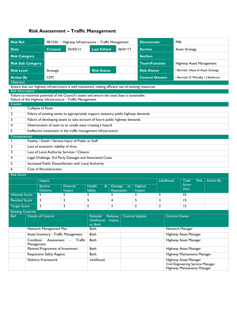# Risk Assessment – Traffic Management

| <b>Risk Ref.</b>                                                                                                                                                                         |                                                  |                                    | SR12/01 - Highway Infrastructure - Traffic Management                                                 |                                     |                      |          |                                                                                           | <b>PER</b><br><b>Directorate</b> |                       |                          |                                   |  |  |
|------------------------------------------------------------------------------------------------------------------------------------------------------------------------------------------|--------------------------------------------------|------------------------------------|-------------------------------------------------------------------------------------------------------|-------------------------------------|----------------------|----------|-------------------------------------------------------------------------------------------|----------------------------------|-----------------------|--------------------------|-----------------------------------|--|--|
| <b>Date</b>                                                                                                                                                                              |                                                  | Created                            | 05/03/13                                                                                              | <b>Last Edited</b>                  |                      | 06/01/17 | <b>Service</b>                                                                            |                                  | <b>Asset Strategy</b> |                          |                                   |  |  |
| <b>Risk Category</b>                                                                                                                                                                     |                                                  |                                    |                                                                                                       |                                     |                      |          | <b>Section</b>                                                                            |                                  |                       |                          |                                   |  |  |
|                                                                                                                                                                                          | <b>Risk Sub Category</b>                         |                                    |                                                                                                       |                                     |                      |          |                                                                                           | <b>Team/Function</b>             |                       | Highway Asset Management |                                   |  |  |
| <b>Risk Level</b>                                                                                                                                                                        |                                                  | Strategic                          |                                                                                                       | <b>Risk Status</b>                  |                      |          |                                                                                           | <b>Risk Owner</b>                |                       |                          | I Burnett- Head of Asset Strategy |  |  |
| <b>Action By</b>                                                                                                                                                                         |                                                  | <b>CMT</b>                         |                                                                                                       |                                     |                      |          |                                                                                           | <b>Control Owners</b>            |                       |                          | I Burnett/ D Waudby / J Skidmore  |  |  |
| <b>Objective</b>                                                                                                                                                                         |                                                  |                                    |                                                                                                       |                                     |                      |          |                                                                                           |                                  |                       |                          |                                   |  |  |
|                                                                                                                                                                                          |                                                  |                                    | Ensure that our highway infrastructure is well maintained, making efficient use of existing resources |                                     |                      |          |                                                                                           |                                  |                       |                          |                                   |  |  |
| <b>Risk Description</b><br>Failure to maximise potential of the Council's assets and ensure the asset base is sustainable.<br>Failure of the Highway Infrastructure - Traffic Management |                                                  |                                    |                                                                                                       |                                     |                      |          |                                                                                           |                                  |                       |                          |                                   |  |  |
| <b>Causes</b>                                                                                                                                                                            |                                                  |                                    |                                                                                                       |                                     |                      |          |                                                                                           |                                  |                       |                          |                                   |  |  |
|                                                                                                                                                                                          | <b>Collapse of Asset</b>                         |                                    |                                                                                                       |                                     |                      |          |                                                                                           |                                  |                       |                          |                                   |  |  |
| 2                                                                                                                                                                                        |                                                  |                                    | Failure of existing assets to appropriately support statutory public highway demands                  |                                     |                      |          |                                                                                           |                                  |                       |                          |                                   |  |  |
| 3                                                                                                                                                                                        |                                                  |                                    | Failure of developing assets to take account of future public highway demands                         |                                     |                      |          |                                                                                           |                                  |                       |                          |                                   |  |  |
| 4                                                                                                                                                                                        |                                                  |                                    | Deterioration of asset to an unsafe state creating a hazard                                           |                                     |                      |          |                                                                                           |                                  |                       |                          |                                   |  |  |
| 5                                                                                                                                                                                        |                                                  |                                    | Ineffective investment in the traffic management infrastructure                                       |                                     |                      |          |                                                                                           |                                  |                       |                          |                                   |  |  |
| Consequences                                                                                                                                                                             |                                                  |                                    |                                                                                                       |                                     |                      |          |                                                                                           |                                  |                       |                          |                                   |  |  |
|                                                                                                                                                                                          |                                                  |                                    | Fatality / Death / Serious Injury of Public or Staff                                                  |                                     |                      |          |                                                                                           |                                  |                       |                          |                                   |  |  |
| $\overline{2}$                                                                                                                                                                           |                                                  | Loss of economic viability of Area |                                                                                                       |                                     |                      |          |                                                                                           |                                  |                       |                          |                                   |  |  |
| 3                                                                                                                                                                                        |                                                  |                                    | Loss of Local Authority Services / Closure                                                            |                                     |                      |          |                                                                                           |                                  |                       |                          |                                   |  |  |
| 4                                                                                                                                                                                        |                                                  |                                    | Legal Challenge, 3rd Party Damages and Associated Costs                                               |                                     |                      |          |                                                                                           |                                  |                       |                          |                                   |  |  |
| 5                                                                                                                                                                                        |                                                  |                                    | Increased Public Dissatisfaction with Local Authority                                                 |                                     |                      |          |                                                                                           |                                  |                       |                          |                                   |  |  |
| 6                                                                                                                                                                                        |                                                  | <b>Cost of Reconstruction</b>      |                                                                                                       |                                     |                      |          |                                                                                           |                                  |                       |                          |                                   |  |  |
| <b>Risk Score</b>                                                                                                                                                                        |                                                  |                                    |                                                                                                       |                                     |                      |          |                                                                                           |                                  | Total                 |                          |                                   |  |  |
|                                                                                                                                                                                          |                                                  | Impact                             |                                                                                                       |                                     |                      |          |                                                                                           | Likelihood                       |                       | <b>Risk</b>              | <b>Action By</b>                  |  |  |
|                                                                                                                                                                                          |                                                  | <b>Service</b><br><b>Delivery</b>  | <b>Financial</b><br><b>Impact</b>                                                                     | <b>Health</b><br>&<br><b>Safety</b> | Damage<br>Reputation | to       | <b>Highest</b><br>Impact                                                                  |                                  | Score<br>(lxL)        |                          |                                   |  |  |
| <b>Inherent Score</b>                                                                                                                                                                    | 5                                                |                                    | 5                                                                                                     | 5.                                  | 5                    |          | 5.                                                                                        | 5                                | 25                    |                          |                                   |  |  |
| <b>Residual Score</b>                                                                                                                                                                    | 3                                                |                                    | 3                                                                                                     | 5                                   | 4                    |          | 5                                                                                         | 3                                | 15                    |                          |                                   |  |  |
| <b>Target Score</b>                                                                                                                                                                      | 3                                                |                                    | 3                                                                                                     | 5                                   | 3                    |          | 5                                                                                         | 3                                | 15                    |                          |                                   |  |  |
| <b>Existing Controls</b>                                                                                                                                                                 | Ref   Details of Control                         |                                    |                                                                                                       | Rational: Reduces   Control Update  |                      |          |                                                                                           |                                  | <b>Control Owner</b>  |                          |                                   |  |  |
|                                                                                                                                                                                          |                                                  |                                    |                                                                                                       | Likelihood, Impact<br>or Both       |                      |          |                                                                                           |                                  |                       |                          |                                   |  |  |
|                                                                                                                                                                                          |                                                  | Network Management Plan            |                                                                                                       | <b>Both</b>                         |                      |          |                                                                                           | Network Manager                  |                       |                          |                                   |  |  |
|                                                                                                                                                                                          | Asset Inventory - Traffic Management             |                                    |                                                                                                       | Both                                |                      |          |                                                                                           | Highway Asset Manager            |                       |                          |                                   |  |  |
|                                                                                                                                                                                          | Condition<br>Assessment<br>Traffic<br>Management |                                    |                                                                                                       | Both                                |                      |          |                                                                                           | Highway Asset Manager            |                       |                          |                                   |  |  |
|                                                                                                                                                                                          | Planned Programme of Investment                  |                                    |                                                                                                       | <b>Both</b>                         |                      |          |                                                                                           |                                  |                       |                          | Highway Asset Manager             |  |  |
|                                                                                                                                                                                          |                                                  | <b>Responsive Safety Regime</b>    |                                                                                                       | Both                                |                      |          |                                                                                           | Highway Maintenance Manager      |                       |                          |                                   |  |  |
|                                                                                                                                                                                          |                                                  | Delivery Framework                 | Likelihood                                                                                            |                                     |                      |          | Highway Asset Manager<br>Civil Engineering Service Manager<br>Highway Maintenance Manager |                                  |                       |                          |                                   |  |  |